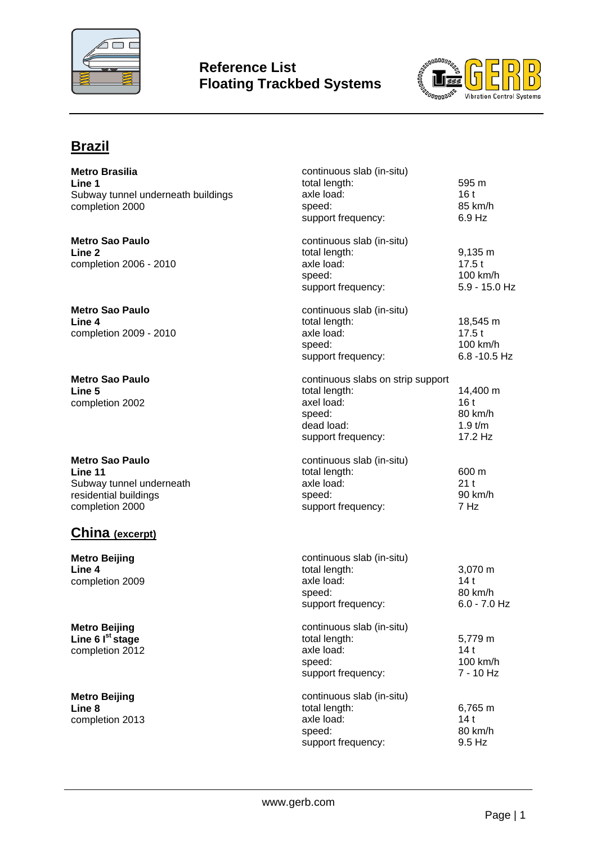

## **Reference List Floating Trackbed Systems**



# **Brazil**

| <b>Metro Brasilia</b><br>Line 1<br>Subway tunnel underneath buildings<br>completion 2000                  | continuous slab (in-situ)<br>total length:<br>axle load:<br>speed:<br>support frequency:                       | 595 m<br>16t<br>85 km/h<br>6.9 Hz                  |
|-----------------------------------------------------------------------------------------------------------|----------------------------------------------------------------------------------------------------------------|----------------------------------------------------|
| <b>Metro Sao Paulo</b><br>Line 2<br>completion 2006 - 2010                                                | continuous slab (in-situ)<br>total length:<br>axle load:<br>speed:<br>support frequency:                       | $9,135 \; m$<br>17.5t<br>100 km/h<br>5.9 - 15.0 Hz |
| <b>Metro Sao Paulo</b><br>Line 4<br>completion 2009 - 2010                                                | continuous slab (in-situ)<br>total length:<br>axle load:<br>speed:<br>support frequency:                       | 18,545 m<br>17.5t<br>100 km/h<br>6.8 -10.5 Hz      |
| <b>Metro Sao Paulo</b><br>Line 5<br>completion 2002                                                       | continuous slabs on strip support<br>total length:<br>axel load:<br>speed:<br>dead load:<br>support frequency: | 14,400 m<br>16t<br>80 km/h<br>$1.9$ t/m<br>17.2 Hz |
| <b>Metro Sao Paulo</b><br>Line 11<br>Subway tunnel underneath<br>residential buildings<br>completion 2000 | continuous slab (in-situ)<br>total length:<br>axle load:<br>speed:<br>support frequency:                       | 600 m<br>21t<br>90 km/h<br>7 Hz                    |
| <b>China</b> (excerpt)<br><b>Metro Beijing</b><br>Line 4<br>completion 2009                               | continuous slab (in-situ)<br>total length:<br>axle load:<br>speed:<br>support frequency:                       | 3,070 m<br>14 t<br>80 km/h<br>$6.0 - 7.0$ Hz       |
| <b>Metro Beijing</b><br>Line 6 $Ist$ stage<br>completion 2012                                             | continuous slab (in-situ)<br>total length:<br>axle load:<br>speed:<br>support frequency:                       | 5,779 m<br>14t<br>100 km/h<br>7 - 10 Hz            |
| <b>Metro Beijing</b><br>Line 8<br>completion 2013                                                         | continuous slab (in-situ)<br>total length:<br>axle load:<br>speed:<br>support frequency:                       | 6,765 m<br>14t<br>80 km/h<br>9.5 Hz                |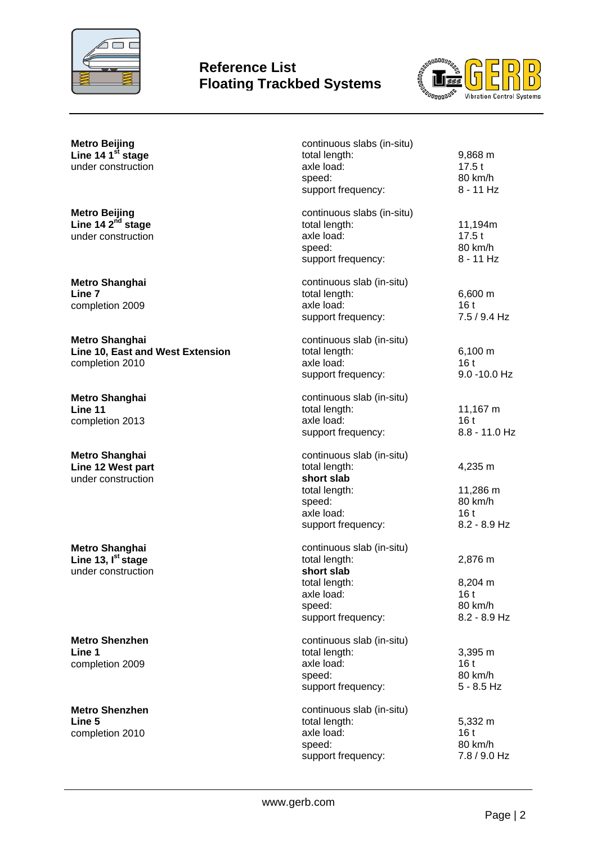

### **Reference List Floating Trackbed Systems**



| <b>Metro Beijing</b><br>Line 14 1 <sup>st</sup> stage<br>under construction   | continuous slabs (in-situ)<br>total length:<br>axle load:<br>speed:<br>support frequency:                               | 9,868 m<br>17.5t<br>80 km/h<br>$8 - 11$ Hz                         |
|-------------------------------------------------------------------------------|-------------------------------------------------------------------------------------------------------------------------|--------------------------------------------------------------------|
| <b>Metro Beijing</b><br>Line 14 2 <sup>nd</sup> stage<br>under construction   | continuous slabs (in-situ)<br>total length:<br>axle load:<br>speed:<br>support frequency:                               | 11,194m<br>17.5t<br>80 km/h<br>$8 - 11$ Hz                         |
| <b>Metro Shanghai</b><br>Line 7<br>completion 2009                            | continuous slab (in-situ)<br>total length:<br>axle load:<br>support frequency:                                          | 6,600 m<br>16t<br>$7.5 / 9.4$ Hz                                   |
| <b>Metro Shanghai</b><br>Line 10, East and West Extension<br>completion 2010  | continuous slab (in-situ)<br>total length:<br>axle load:<br>support frequency:                                          | 6,100 m<br>16t<br>9.0 -10.0 Hz                                     |
| <b>Metro Shanghai</b><br>Line 11<br>completion 2013                           | continuous slab (in-situ)<br>total length:<br>axle load:<br>support frequency:                                          | 11,167 m<br>16t<br>8.8 - 11.0 Hz                                   |
| <b>Metro Shanghai</b><br>Line 12 West part<br>under construction              | continuous slab (in-situ)<br>total length:<br>short slab<br>total length:<br>speed:<br>axle load:<br>support frequency: | 4,235 m<br>11,286 m<br>80 km/h<br>16t<br>$8.2 - 8.9$ Hz            |
| <b>Metro Shanghai</b><br>Line 13, I <sup>st</sup> stage<br>under construction | continuous slab (in-situ)<br>total length:<br>short slab<br>total length:<br>axle load:<br>speed:<br>support frequency: | 2,876 m<br>8,204 m<br>16 <sub>t</sub><br>80 km/h<br>$8.2 - 8.9$ Hz |
| <b>Metro Shenzhen</b><br>Line 1<br>completion 2009                            | continuous slab (in-situ)<br>total length:<br>axle load:<br>speed:<br>support frequency:                                | 3,395 m<br>16t<br>80 km/h<br>$5 - 8.5$ Hz                          |
| <b>Metro Shenzhen</b><br>Line 5<br>completion 2010                            | continuous slab (in-situ)<br>total length:<br>axle load:<br>speed:                                                      | 5,332 m<br>16 <sub>t</sub><br>80 km/h                              |

support frequency:

7.8 / 9.0 Hz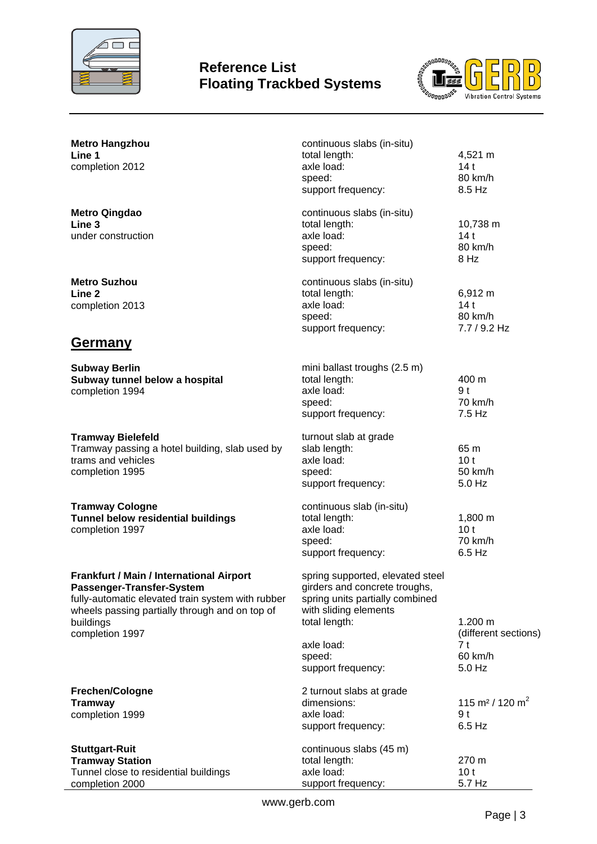

## **Reference List Floating Trackbed Systems**



| <b>Metro Hangzhou</b><br>Line 1<br>completion 2012                                                                                                                                                                  | continuous slabs (in-situ)<br>total length:<br>axle load:<br>speed:<br>support frequency:                                                                                                    | 4,521 m<br>14t<br>80 km/h<br>8.5 Hz                                    |
|---------------------------------------------------------------------------------------------------------------------------------------------------------------------------------------------------------------------|----------------------------------------------------------------------------------------------------------------------------------------------------------------------------------------------|------------------------------------------------------------------------|
| <b>Metro Qingdao</b><br>Line <sub>3</sub><br>under construction                                                                                                                                                     | continuous slabs (in-situ)<br>total length:<br>axle load:<br>speed:<br>support frequency:                                                                                                    | 10,738 m<br>14t<br>80 km/h<br>8 Hz                                     |
| <b>Metro Suzhou</b><br>Line 2<br>completion 2013                                                                                                                                                                    | continuous slabs (in-situ)<br>total length:<br>axle load:<br>speed:<br>support frequency:                                                                                                    | 6,912 m<br>14t<br>80 km/h<br>7.7 / 9.2 Hz                              |
| <u>Germany</u>                                                                                                                                                                                                      |                                                                                                                                                                                              |                                                                        |
| <b>Subway Berlin</b><br>Subway tunnel below a hospital<br>completion 1994                                                                                                                                           | mini ballast troughs (2.5 m)<br>total length:<br>axle load:<br>speed:<br>support frequency:                                                                                                  | 400 m<br>9 <sub>t</sub><br>70 km/h<br>7.5 Hz                           |
| <b>Tramway Bielefeld</b><br>Tramway passing a hotel building, slab used by<br>trams and vehicles<br>completion 1995                                                                                                 | turnout slab at grade<br>slab length:<br>axle load:<br>speed:<br>support frequency:                                                                                                          | 65 m<br>10 <sub>t</sub><br>50 km/h<br>5.0 Hz                           |
| <b>Tramway Cologne</b><br>Tunnel below residential buildings<br>completion 1997                                                                                                                                     | continuous slab (in-situ)<br>total length:<br>axle load:<br>speed:<br>support frequency:                                                                                                     | 1,800 m<br>10 <sub>t</sub><br>70 km/h<br>$6.5$ Hz                      |
| <b>Frankfurt / Main / International Airport</b><br>Passenger-Transfer-System<br>fully-automatic elevated train system with rubber<br>wheels passing partially through and on top of<br>buildings<br>completion 1997 | spring supported, elevated steel<br>girders and concrete troughs,<br>spring units partially combined<br>with sliding elements<br>total length:<br>axle load:<br>speed:<br>support frequency: | 1.200 m<br>(different sections)<br>7 <sub>t</sub><br>60 km/h<br>5.0 Hz |
| Frechen/Cologne<br><b>Tramway</b><br>completion 1999                                                                                                                                                                | 2 turnout slabs at grade<br>dimensions:<br>axle load:<br>support frequency:                                                                                                                  | 115 m <sup>2</sup> / 120 m <sup>2</sup><br>9 <sub>t</sub><br>$6.5$ Hz  |
| <b>Stuttgart-Ruit</b><br><b>Tramway Station</b><br>Tunnel close to residential buildings<br>completion 2000                                                                                                         | continuous slabs (45 m)<br>total length:<br>axle load:<br>support frequency:                                                                                                                 | 270 m<br>10 <sub>t</sub><br>5.7 Hz                                     |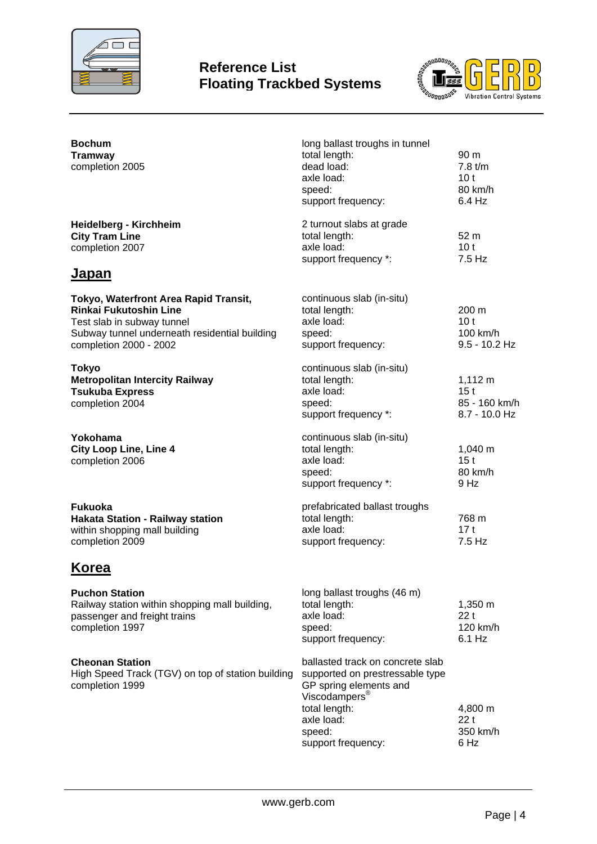

## **Reference List Floating Trackbed Systems**



| <b>Bochum</b><br><b>Tramway</b><br>completion 2005                                                                                                                              | long ballast troughs in tunnel<br>total length:<br>dead load:<br>axle load:<br>speed:<br>support frequency:                                                                               | 90 m<br>7.8 t/m<br>10 <sub>t</sub><br>80 km/h<br>6.4 Hz           |
|---------------------------------------------------------------------------------------------------------------------------------------------------------------------------------|-------------------------------------------------------------------------------------------------------------------------------------------------------------------------------------------|-------------------------------------------------------------------|
| <b>Heidelberg - Kirchheim</b><br><b>City Tram Line</b><br>completion 2007                                                                                                       | 2 turnout slabs at grade<br>total length:<br>axle load:<br>support frequency *:                                                                                                           | 52 m<br>10 <sub>t</sub><br>7.5 Hz                                 |
| <u>Japan</u>                                                                                                                                                                    |                                                                                                                                                                                           |                                                                   |
| Tokyo, Waterfront Area Rapid Transit,<br><b>Rinkai Fukutoshin Line</b><br>Test slab in subway tunnel<br>Subway tunnel underneath residential building<br>completion 2000 - 2002 | continuous slab (in-situ)<br>total length:<br>axle load:<br>speed:<br>support frequency:                                                                                                  | 200 m<br>10 <sub>t</sub><br>100 km/h<br>$9.5 - 10.2$ Hz           |
| <b>Tokyo</b><br><b>Metropolitan Intercity Railway</b><br><b>Tsukuba Express</b><br>completion 2004                                                                              | continuous slab (in-situ)<br>total length:<br>axle load:<br>speed:<br>support frequency *:                                                                                                | $1,112 \; m$<br>15 <sub>t</sub><br>85 - 160 km/h<br>8.7 - 10.0 Hz |
| Yokohama<br><b>City Loop Line, Line 4</b><br>completion 2006                                                                                                                    | continuous slab (in-situ)<br>total length:<br>axle load:<br>speed:<br>support frequency *:                                                                                                | 1,040 m<br>15 <sub>t</sub><br>80 km/h<br>9 Hz                     |
| <b>Fukuoka</b><br><b>Hakata Station - Railway station</b><br>within shopping mall building<br>completion 2009                                                                   | prefabricated ballast troughs<br>total length:<br>axle load:<br>support frequency:                                                                                                        | 768 m<br>17t<br>7.5 Hz                                            |
| Korea                                                                                                                                                                           |                                                                                                                                                                                           |                                                                   |
| <b>Puchon Station</b><br>Railway station within shopping mall building,<br>passenger and freight trains<br>completion 1997                                                      | long ballast troughs (46 m)<br>total length:<br>axle load:<br>speed:<br>support frequency:                                                                                                | 1,350 m<br>22t<br>120 km/h<br>6.1 Hz                              |
| <b>Cheonan Station</b><br>High Speed Track (TGV) on top of station building<br>completion 1999                                                                                  | ballasted track on concrete slab<br>supported on prestressable type<br>GP spring elements and<br>Viscodampers <sup>®</sup><br>total length:<br>axle load:<br>speed:<br>support frequency: | 4,800 m<br>22t<br>350 km/h<br>6 Hz                                |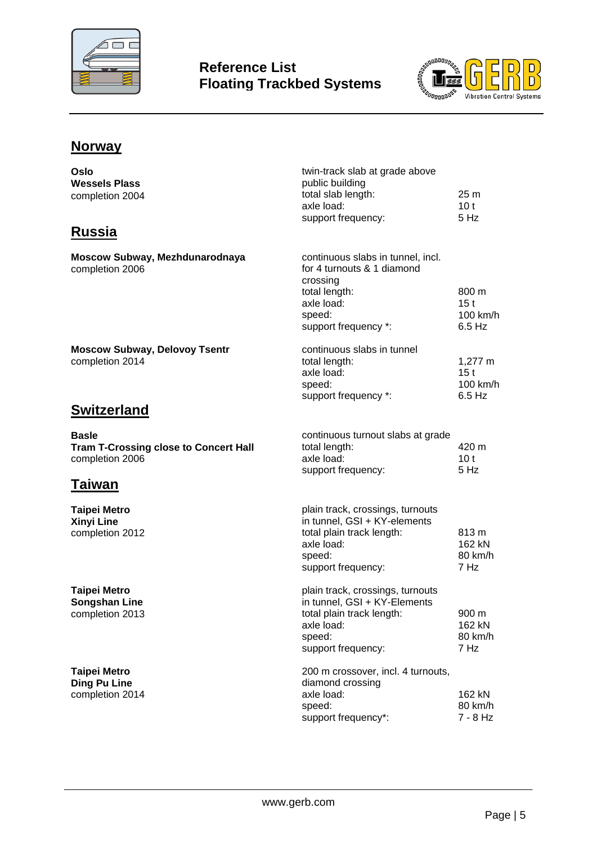



# **Norway**

| Oslo<br><b>Wessels Plass</b><br>completion 2004<br><b>Russia</b>                | twin-track slab at grade above<br>public building<br>total slab length:<br>axle load:<br>support frequency:                                  | 25 <sub>m</sub><br>10 <sub>t</sub><br>5 Hz |
|---------------------------------------------------------------------------------|----------------------------------------------------------------------------------------------------------------------------------------------|--------------------------------------------|
|                                                                                 |                                                                                                                                              |                                            |
| Moscow Subway, Mezhdunarodnaya<br>completion 2006                               | continuous slabs in tunnel, incl.<br>for 4 turnouts & 1 diamond<br>crossing<br>total length:<br>axle load:<br>speed:<br>support frequency *: | 800 m<br>15t<br>100 km/h<br>$6.5$ Hz       |
| <b>Moscow Subway, Delovoy Tsentr</b><br>completion 2014                         | continuous slabs in tunnel<br>total length:<br>axle load:<br>speed:<br>support frequency *:                                                  | 1,277 m<br>15t<br>100 km/h<br>$6.5$ Hz     |
| <b>Switzerland</b>                                                              |                                                                                                                                              |                                            |
| <b>Basle</b><br><b>Tram T-Crossing close to Concert Hall</b><br>completion 2006 | continuous turnout slabs at grade<br>total length:<br>axle load:<br>support frequency:                                                       | 420 m<br>10 <sub>t</sub><br>5 Hz           |
| Taiwan                                                                          |                                                                                                                                              |                                            |
| <b>Taipei Metro</b><br><b>Xinyi Line</b><br>completion 2012                     | plain track, crossings, turnouts<br>in tunnel, GSI + KY-elements<br>total plain track length:<br>axle load:<br>speed:<br>support frequency:  | 813 m<br>162 kN<br>80 km/h<br>7 Hz         |
| <b>Taipei Metro</b><br><b>Songshan Line</b><br>completion 2013                  | plain track, crossings, turnouts<br>in tunnel, GSI + KY-Elements<br>total plain track length:<br>axle load:<br>speed:<br>support frequency:  | 900 m<br>162 kN<br>80 km/h<br>7 Hz         |
| <b>Taipei Metro</b><br><b>Ding Pu Line</b><br>completion 2014                   | 200 m crossover, incl. 4 turnouts,<br>diamond crossing<br>axle load:<br>speed:<br>support frequency*:                                        | 162 kN<br>80 km/h<br>7 - 8 Hz              |